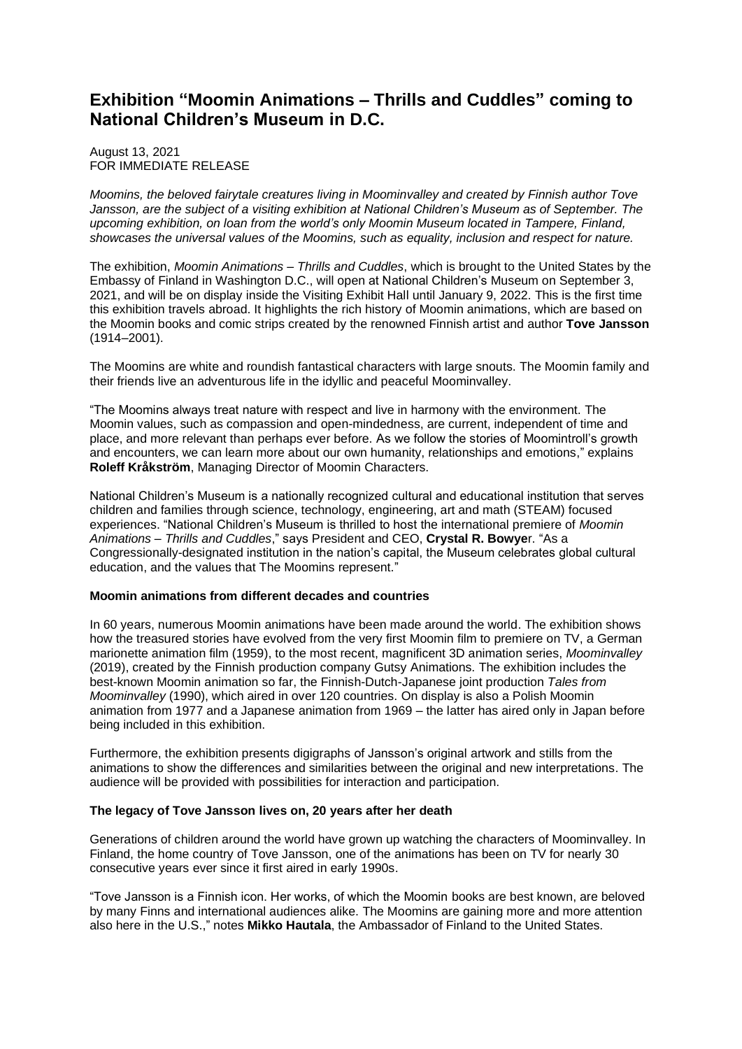# **Exhibition "Moomin Animations – Thrills and Cuddles" coming to National Children's Museum in D.C.**

August 13, 2021 FOR IMMEDIATE RELEASE

*Moomins, the beloved fairytale creatures living in Moominvalley and created by Finnish author Tove Jansson, are the subject of a visiting exhibition at National Children's Museum as of September. The upcoming exhibition, on loan from the world's only Moomin Museum located in Tampere, Finland, showcases the universal values of the Moomins, such as equality, inclusion and respect for nature.*

The exhibition, *Moomin Animations – Thrills and Cuddles*, which is brought to the United States by the Embassy of Finland in Washington D.C., will open at National Children's Museum on September 3, 2021, and will be on display inside the Visiting Exhibit Hall until January 9, 2022. This is the first time this exhibition travels abroad. It highlights the rich history of Moomin animations, which are based on the Moomin books and comic strips created by the renowned Finnish artist and author **Tove Jansson** (1914–2001).

The Moomins are white and roundish fantastical characters with large snouts. The Moomin family and their friends live an adventurous life in the idyllic and peaceful Moominvalley.

"The Moomins always treat nature with respect and live in harmony with the environment. The Moomin values, such as compassion and open-mindedness, are current, independent of time and place, and more relevant than perhaps ever before. As we follow the stories of Moomintroll's growth and encounters, we can learn more about our own humanity, relationships and emotions," explains **Roleff Kråkström**, Managing Director of Moomin Characters.

National Children's Museum is a nationally recognized cultural and educational institution that serves children and families through science, technology, engineering, art and math (STEAM) focused experiences. "National Children's Museum is thrilled to host the international premiere of *Moomin Animations – Thrills and Cuddles*," says President and CEO, **Crystal R. Bowye**r. "As a Congressionally-designated institution in the nation's capital, the Museum celebrates global cultural education, and the values that The Moomins represent."

## **Moomin animations from different decades and countries**

In 60 years, numerous Moomin animations have been made around the world. The exhibition shows how the treasured stories have evolved from the very first Moomin film to premiere on TV, a German marionette animation film (1959), to the most recent, magnificent 3D animation series, *Moominvalley* (2019), created by the Finnish production company Gutsy Animations. The exhibition includes the best-known Moomin animation so far, the Finnish-Dutch-Japanese joint production *Tales from Moominvalley* (1990), which aired in over 120 countries. On display is also a Polish Moomin animation from 1977 and a Japanese animation from 1969 – the latter has aired only in Japan before being included in this exhibition.

Furthermore, the exhibition presents digigraphs of Jansson's original artwork and stills from the animations to show the differences and similarities between the original and new interpretations. The audience will be provided with possibilities for interaction and participation.

#### **The legacy of Tove Jansson lives on, 20 years after her death**

Generations of children around the world have grown up watching the characters of Moominvalley. In Finland, the home country of Tove Jansson, one of the animations has been on TV for nearly 30 consecutive years ever since it first aired in early 1990s.

"Tove Jansson is a Finnish icon. Her works, of which the Moomin books are best known, are beloved by many Finns and international audiences alike. The Moomins are gaining more and more attention also here in the U.S.," notes **Mikko Hautala**, the Ambassador of Finland to the United States.